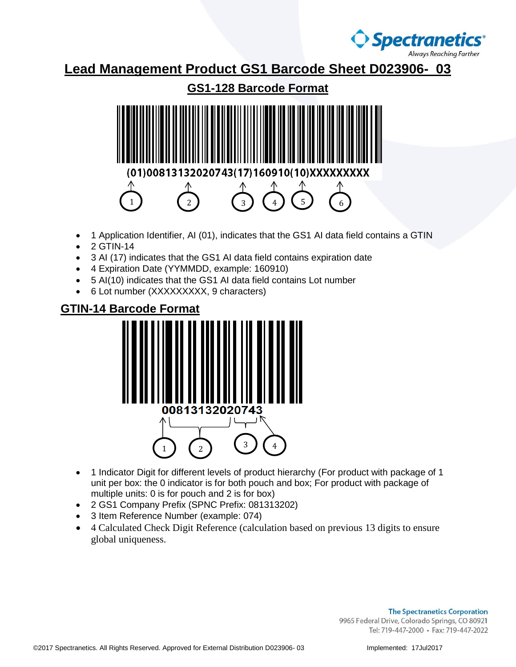

**Lead Management Product GS1 Barcode Sheet D023906- 03**

**GS1-128 Barcode Format** 01)0081 3 320207431 1  $\begin{pmatrix} 2 \end{pmatrix}$   $\begin{pmatrix} 3 \end{pmatrix}$   $\begin{pmatrix} 4 \end{pmatrix}$   $\begin{pmatrix} 5 \end{pmatrix}$   $\begin{pmatrix} 6 \end{pmatrix}$ 

- 1 Application Identifier, AI (01), indicates that the GS1 AI data field contains a GTIN
- 2 GTIN-14
- 3 AI (17) indicates that the GS1 AI data field contains expiration date
- 4 Expiration Date (YYMMDD, example: 160910)
- 5 AI(10) indicates that the GS1 AI data field contains Lot number
- 6 Lot number (XXXXXXXXX, 9 characters)

## **GTIN-14 Barcode Format**



- 1 Indicator Digit for different levels of product hierarchy (For product with package of 1 unit per box: the 0 indicator is for both pouch and box; For product with package of multiple units: 0 is for pouch and 2 is for box)
- 2 GS1 Company Prefix (SPNC Prefix: 081313202)
- 3 Item Reference Number (example: 074)
- 4 Calculated Check Digit Reference (calculation based on previous 13 digits to ensure global uniqueness.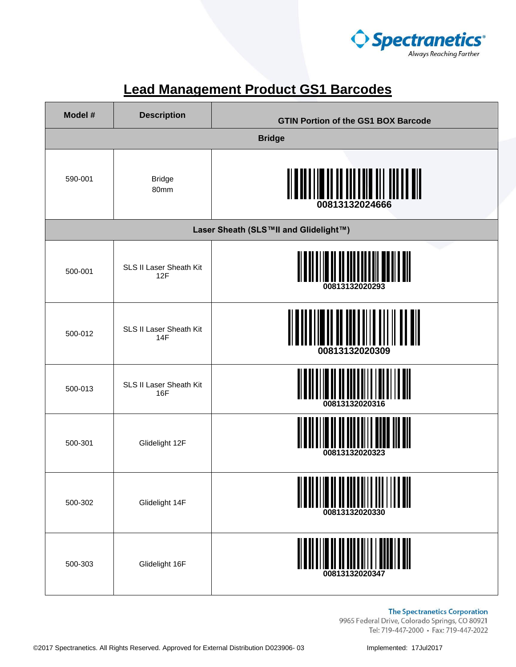

| Model # | <b>Description</b>                    | <b>GTIN Portion of the GS1 BOX Barcode</b>        |
|---------|---------------------------------------|---------------------------------------------------|
|         |                                       | <b>Bridge</b>                                     |
| 590-001 | <b>Bridge</b><br>80mm                 | <u>d il in lin ill tott dil</u><br>00813132024666 |
|         |                                       | Laser Sheath (SLS™II and Glidelight™)             |
| 500-001 | SLS II Laser Sheath Kit<br>12F        | 00813132020293                                    |
| 500-012 | SLS II Laser Sheath Kit<br><b>14F</b> | 00813132020309                                    |
| 500-013 | SLS II Laser Sheath Kit<br>16F        | 00813132020316                                    |
| 500-301 | Glidelight 12F                        | 00813132020323                                    |
| 500-302 | Glidelight 14F                        | 00813132020330                                    |
| 500-303 | Glidelight 16F                        |                                                   |

## **Lead Management Product GS1 Barcodes**

**The Spectranetics Corporation**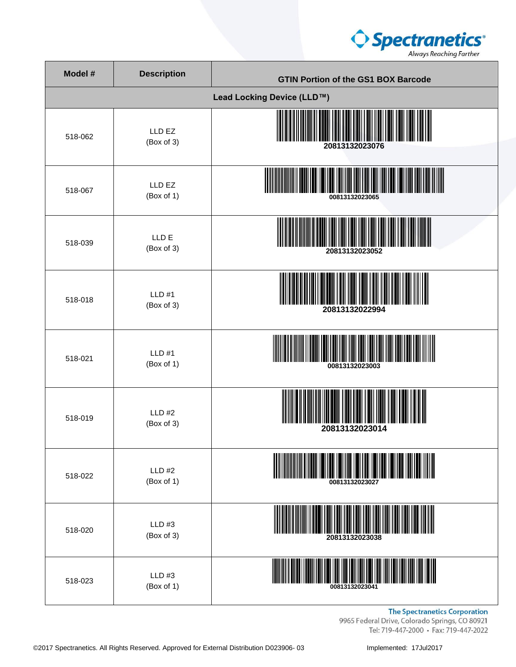

| Model # | <b>Description</b>          | <b>GTIN Portion of the GS1 BOX Barcode</b> |
|---------|-----------------------------|--------------------------------------------|
|         |                             | Lead Locking Device (LLD™)                 |
| 518-062 | LLD EZ<br>(Box of 3)        | 20813132023076                             |
| 518-067 | LLD EZ<br>(Box of 1)        | 00813132023065                             |
| 518-039 | LLD E<br>(Box of 3)         | 20813132023052                             |
| 518-018 | LLD#1<br>(Box of 3)         | 20813132022994                             |
| 518-021 | $LLD$ #1<br>(Box of 1)      | 00813132023003                             |
| 518-019 | LLD#2<br>(Box of 3)         | 20813132023014                             |
| 518-022 | <b>LLD #2</b><br>(Box of 1) | 00813132023027                             |
| 518-020 | LLD #3<br>(Box of 3)        | 20813132023038                             |
| 518-023 | LLD #3<br>(Box of 1)        | 00813132023041                             |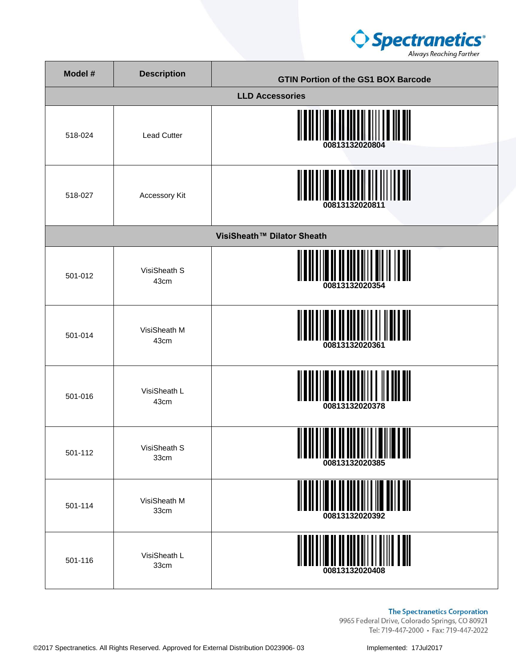

| Model # | <b>Description</b>   | <b>GTIN Portion of the GS1 BOX Barcode</b> |
|---------|----------------------|--------------------------------------------|
|         |                      | <b>LLD Accessories</b>                     |
| 518-024 | <b>Lead Cutter</b>   | 00813132020804                             |
| 518-027 | Accessory Kit        | 00813132020811                             |
|         |                      | VisiSheath™ Dilator Sheath                 |
| 501-012 | VisiSheath S<br>43cm | 00813132020354                             |
| 501-014 | VisiSheath M<br>43cm | 00813132020361                             |
| 501-016 | VisiSheath L<br>43cm | 00813132020378                             |
| 501-112 | VisiSheath S<br>33cm | 00813132020385                             |
| 501-114 | VisiSheath M<br>33cm | 00813132020392                             |
| 501-116 | VisiSheath L<br>33cm | 00813132020408                             |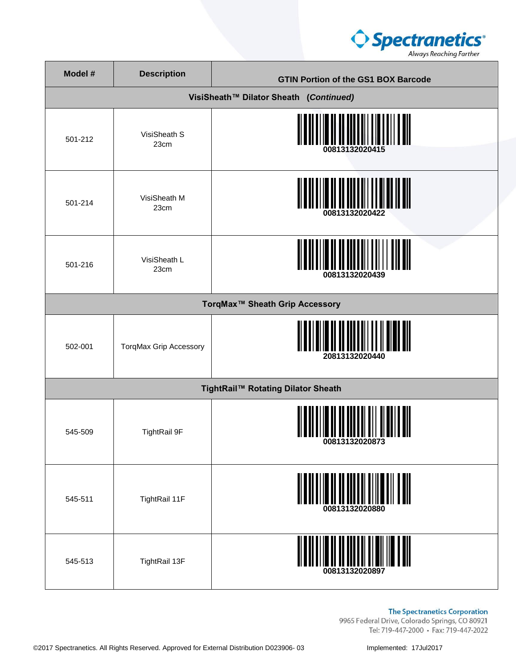

| Model # | <b>Description</b>            | <b>GTIN Portion of the GS1 BOX Barcode</b>          |
|---------|-------------------------------|-----------------------------------------------------|
|         |                               | VisiSheath™ Dilator Sheath (Continued)              |
| 501-212 | VisiSheath S<br>23cm          | <u>                  </u><br>00813132020415         |
| 501-214 | VisiSheath M<br>23cm          | I DI LIMIN II DI DI LILLI LIMIN<br>00813132020422   |
| 501-216 | VisiSheath L<br>23cm          | <br>         <br>00813132020439                     |
|         |                               | TorqMax <sup>™</sup> Sheath Grip Accessory          |
| 502-001 | <b>TorqMax Grip Accessory</b> | 20813132020440                                      |
|         |                               | TightRail™ Rotating Dilator Sheath                  |
| 545-509 | <b>TightRail 9F</b>           | i <b>ii II iiiiii</b> ii III III<br>UUO IJIJZUZUOIJ |
| 545-511 | TightRail 11F                 | 00813132020880                                      |
| 545-513 | TightRail 13F                 |                                                     |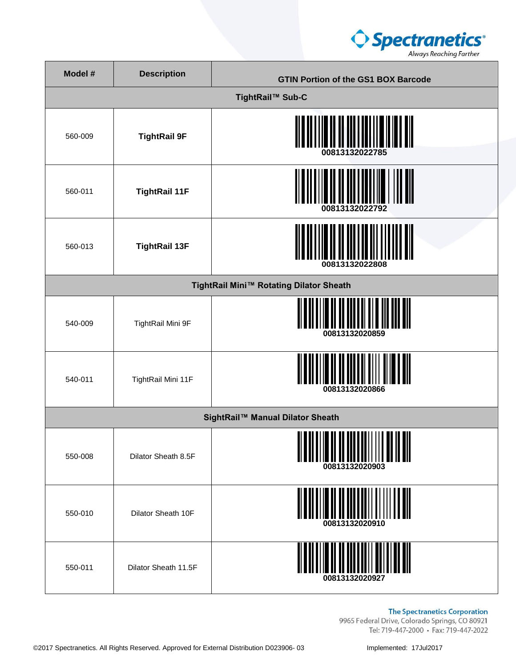

| Model # | <b>Description</b>   | <b>GTIN Portion of the GS1 BOX Barcode</b>                      |
|---------|----------------------|-----------------------------------------------------------------|
|         |                      | TightRail™ Sub-C                                                |
| 560-009 | <b>TightRail 9F</b>  | 00813132022785                                                  |
| 560-011 | <b>TightRail 11F</b> | 00813132022792                                                  |
| 560-013 | <b>TightRail 13F</b> | 00813132022808                                                  |
|         |                      | TightRail Mini™ Rotating Dilator Sheath                         |
| 540-009 | TightRail Mini 9F    | 00813132020859                                                  |
| 540-011 | TightRail Mini 11F   | 00813132020866                                                  |
|         |                      | SightRail™ Manual Dilator Sheath                                |
| 550-008 | Dilator Sheath 8.5F  | <u> ALANDI III OLI TAI LIITTII ON IN AILI</u><br>00813132020903 |
| 550-010 | Dilator Sheath 10F   | II II III IIII IIII III III<br>00813132020910                   |
| 550-011 | Dilator Sheath 11.5F | 00813132020927                                                  |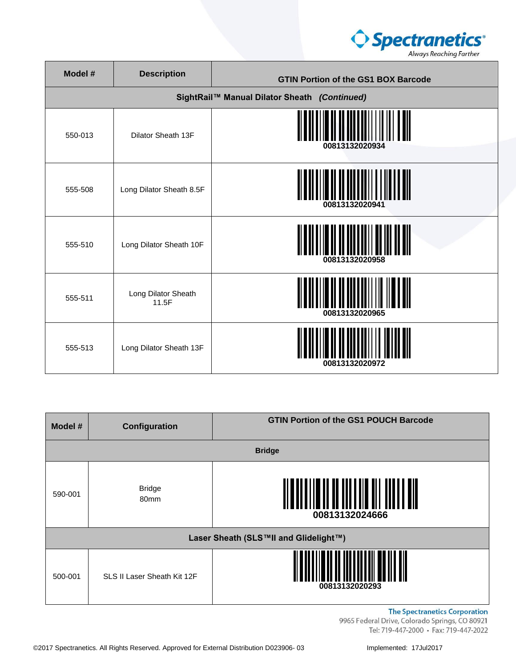

| Model # | <b>Description</b>           | <b>GTIN Portion of the GS1 BOX Barcode</b>   |
|---------|------------------------------|----------------------------------------------|
|         |                              | SightRail™ Manual Dilator Sheath (Continued) |
| 550-013 | Dilator Sheath 13F           | 00813132020934                               |
| 555-508 | Long Dilator Sheath 8.5F     | 00813132020941                               |
| 555-510 | Long Dilator Sheath 10F      | 00813132020958                               |
| 555-511 | Long Dilator Sheath<br>11.5F | 00813132020965                               |
| 555-513 | Long Dilator Sheath 13F      | 00813132020972                               |

| Model #                               | Configuration               | <b>GTIN Portion of the GS1 POUCH Barcode</b> |
|---------------------------------------|-----------------------------|----------------------------------------------|
|                                       |                             | <b>Bridge</b>                                |
| 590-001                               | <b>Bridge</b><br>80mm       | 00813132024666                               |
| Laser Sheath (SLS™II and Glidelight™) |                             |                                              |
| 500-001                               | SLS II Laser Sheath Kit 12F | 00813132020293                               |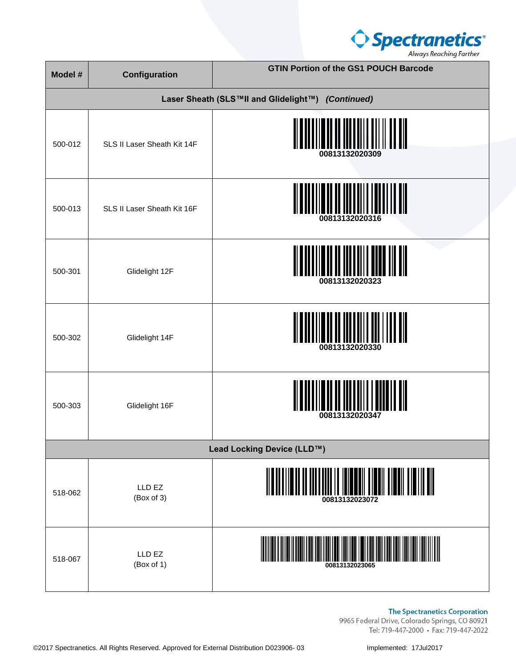

| Model # | <b>Configuration</b>        | <b>GTIN Portion of the GS1 POUCH Barcode</b>      |
|---------|-----------------------------|---------------------------------------------------|
|         |                             | Laser Sheath (SLS™II and Glidelight™) (Continued) |
| 500-012 | SLS II Laser Sheath Kit 14F | 00813132020309                                    |
| 500-013 | SLS II Laser Sheath Kit 16F | 00813132020316                                    |
| 500-301 | Glidelight 12F              | 00813132020323                                    |
| 500-302 | Glidelight 14F              | 00813132020330                                    |
| 500-303 | Glidelight 16F              | 00813132020347                                    |
|         |                             | Lead Locking Device (LLD™)                        |
| 518-062 | LLD EZ<br>(Box of 3)        | <u>an tidan tidan tidan an</u>                    |
| 518-067 | LLD EZ<br>(Box of 1)        |                                                   |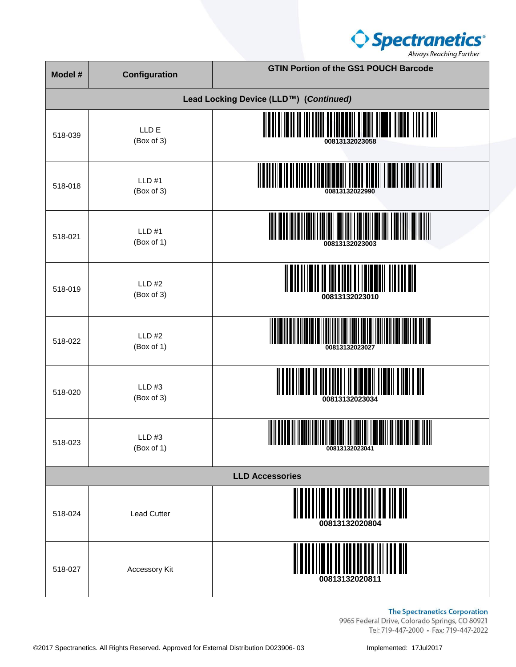

| Model #                | Configuration               | <b>GTIN Portion of the GS1 POUCH Barcode</b>                                                                                                                                                                                                                                                                                                                      |
|------------------------|-----------------------------|-------------------------------------------------------------------------------------------------------------------------------------------------------------------------------------------------------------------------------------------------------------------------------------------------------------------------------------------------------------------|
|                        |                             | Lead Locking Device (LLD™) (Continued)                                                                                                                                                                                                                                                                                                                            |
| 518-039                | LLD E<br>(Box of 3)         | III TIONI TIONI TIONI TIITT<br>00813132023058                                                                                                                                                                                                                                                                                                                     |
| 518-018                | <b>LLD #1</b><br>(Box of 3) | 00813132022990                                                                                                                                                                                                                                                                                                                                                    |
| 518-021                | <b>LLD #1</b><br>(Box of 1) | 00813132023003                                                                                                                                                                                                                                                                                                                                                    |
| 518-019                | <b>LLD #2</b><br>(Box of 3) | 00813132023010                                                                                                                                                                                                                                                                                                                                                    |
| 518-022                | <b>LLD #2</b><br>(Box of 1) | 00813132023027                                                                                                                                                                                                                                                                                                                                                    |
| 518-020                | LLD #3<br>(Box of 3)        | 00813132023034                                                                                                                                                                                                                                                                                                                                                    |
| 518-023                | LLD#3<br>(Box of 1)         | $\begin{picture}(100,100)(0,0) \put(0,0){\vector(1,0){100}} \put(10,0){\vector(1,0){100}} \put(10,0){\vector(1,0){100}} \put(10,0){\vector(1,0){100}} \put(10,0){\vector(1,0){100}} \put(10,0){\vector(1,0){100}} \put(10,0){\vector(1,0){100}} \put(10,0){\vector(1,0){100}} \put(10,0){\vector(1,0){100}} \put(10,0){\vector(1,0){100}} \put(10,0){\vector(1,0$ |
| <b>LLD Accessories</b> |                             |                                                                                                                                                                                                                                                                                                                                                                   |
| 518-024                | <b>Lead Cutter</b>          | 00813132020804                                                                                                                                                                                                                                                                                                                                                    |
| 518-027                | Accessory Kit               | 00813132020811                                                                                                                                                                                                                                                                                                                                                    |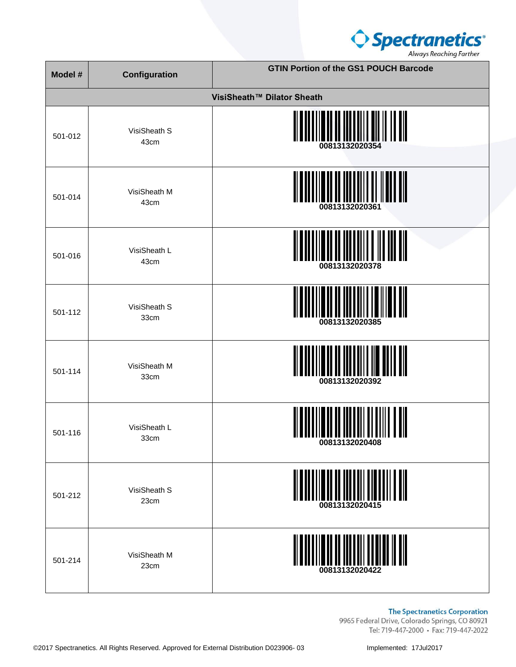

| Model # | <b>Configuration</b> | <b>GTIN Portion of the GS1 POUCH Barcode</b> |
|---------|----------------------|----------------------------------------------|
|         |                      | VisiSheath™ Dilator Sheath                   |
| 501-012 | VisiSheath S<br>43cm | WW<br>00813132020354                         |
| 501-014 | VisiSheath M<br>43cm | 00813132020361                               |
| 501-016 | VisiSheath L<br>43cm | 00813132020378                               |
| 501-112 | VisiSheath S<br>33cm | 00813132020385                               |
| 501-114 | VisiSheath M<br>33cm | 00813132020392                               |
| 501-116 | VisiSheath L<br>33cm | 00813132020408                               |
| 501-212 | VisiSheath S<br>23cm | 00813132020415                               |
| 501-214 | VisiSheath M<br>23cm | <u>MANIMINI MANIMUM M</u>                    |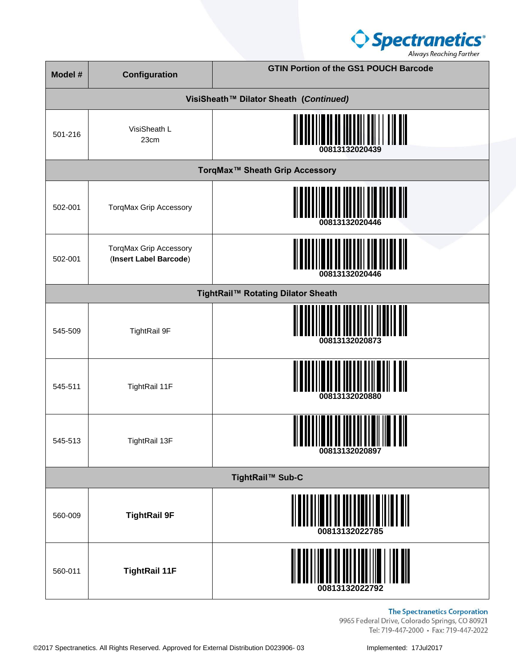

| Model #          | Configuration                                    | <b>GTIN Portion of the GS1 POUCH Barcode</b> |
|------------------|--------------------------------------------------|----------------------------------------------|
|                  |                                                  | VisiSheath™ Dilator Sheath (Continued)       |
| 501-216          | VisiSheath L<br>23cm                             | 00813132020439                               |
|                  |                                                  | TorqMax <sup>™</sup> Sheath Grip Accessory   |
| 502-001          | <b>TorqMax Grip Accessory</b>                    | 00813132020446                               |
| 502-001          | TorqMax Grip Accessory<br>(Insert Label Barcode) | 00813132020446                               |
|                  |                                                  | TightRail™ Rotating Dilator Sheath           |
| 545-509          | <b>TightRail 9F</b>                              | 00813132020873                               |
| 545-511          | TightRail 11F                                    | 00813132020880                               |
| 545-513          | TightRail 13F                                    | 00813132020897                               |
| TightRail™ Sub-C |                                                  |                                              |
| 560-009          | <b>TightRail 9F</b>                              | 00813132022785                               |
| 560-011          | <b>TightRail 11F</b>                             | 00813132022792                               |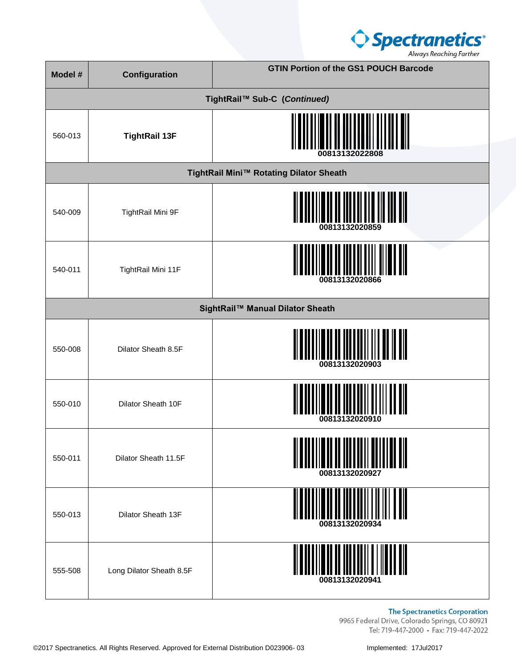

| Model # | Configuration                    | <b>GTIN Portion of the GS1 POUCH Barcode</b>   |  |
|---------|----------------------------------|------------------------------------------------|--|
|         |                                  | TightRail™ Sub-C (Continued)                   |  |
| 560-013 | <b>TightRail 13F</b>             | 00813132022808                                 |  |
|         |                                  | TightRail Mini™ Rotating Dilator Sheath        |  |
| 540-009 | TightRail Mini 9F                | 00813132020859                                 |  |
| 540-011 | TightRail Mini 11F               | 00813132020866                                 |  |
|         | SightRail™ Manual Dilator Sheath |                                                |  |
| 550-008 | Dilator Sheath 8.5F              | <u> II III III III III I</u><br>00813132020903 |  |
| 550-010 | Dilator Sheath 10F               | 00813132020910                                 |  |
| 550-011 | Dilator Sheath 11.5F             | 00813132020927                                 |  |
| 550-013 | Dilator Sheath 13F               | 00813132020934                                 |  |
| 555-508 | Long Dilator Sheath 8.5F         | 00813132020941                                 |  |